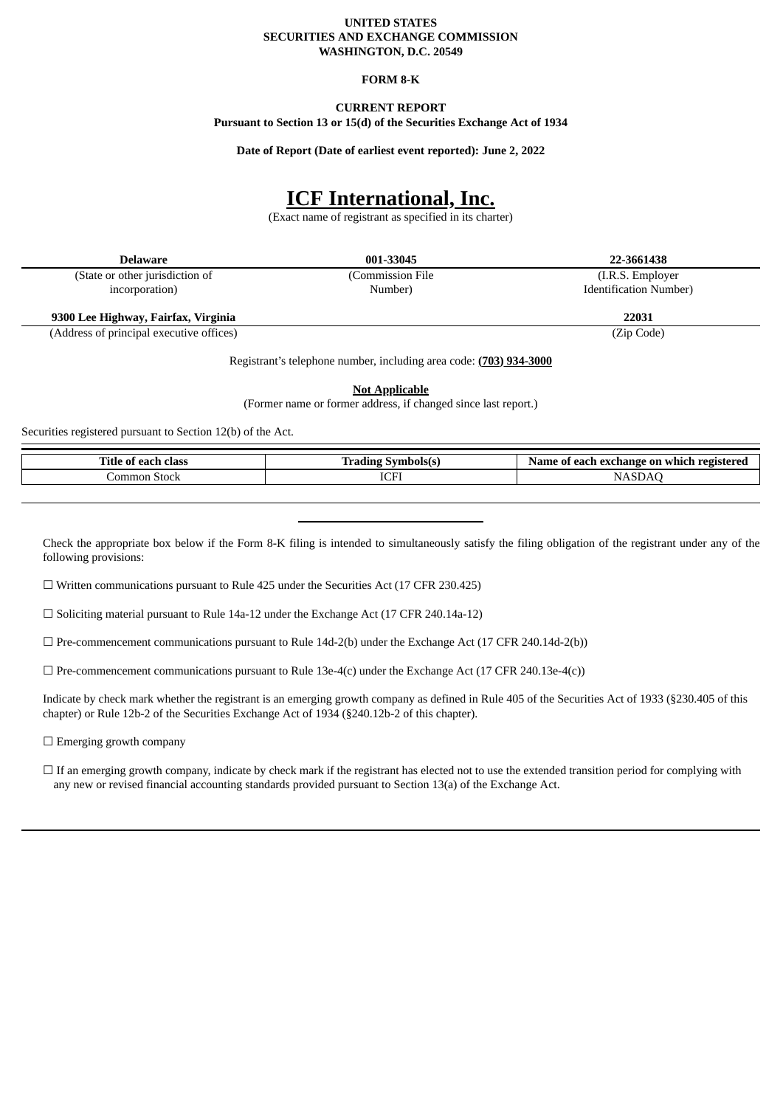### **UNITED STATES SECURITIES AND EXCHANGE COMMISSION WASHINGTON, D.C. 20549**

#### **FORM 8-K**

### **CURRENT REPORT**

**Pursuant to Section 13 or 15(d) of the Securities Exchange Act of 1934**

**Date of Report (Date of earliest event reported): June 2, 2022**

# **ICF International, Inc.**

(Exact name of registrant as specified in its charter)

(State or other jurisdiction of incorporation)

(Commission File Number)

**Delaware 001-33045 22-3661438**

(I.R.S. Employer Identification Number)

**9300 Lee Highway, Fairfax, Virginia 22031**

(Address of principal executive offices) (Zip Code)

Registrant's telephone number, including area code: **(703) 934-3000**

**Not Applicable**

(Former name or former address, if changed since last report.)

Securities registered pursuant to Section 12(b) of the Act.

| alace<br>11tle<br>$\mathbf{u}$<br>. нам | $-1$        | exchange<br>-on<br>Name<br>whi<br>oı<br>г. |
|-----------------------------------------|-------------|--------------------------------------------|
| ommor<br>ool:<br>owun                   | $\sim$<br>. |                                            |

Check the appropriate box below if the Form 8-K filing is intended to simultaneously satisfy the filing obligation of the registrant under any of the following provisions:

☐ Written communications pursuant to Rule 425 under the Securities Act (17 CFR 230.425)

☐ Soliciting material pursuant to Rule 14a-12 under the Exchange Act (17 CFR 240.14a-12)

 $\Box$  Pre-commencement communications pursuant to Rule 14d-2(b) under the Exchange Act (17 CFR 240.14d-2(b))

 $\Box$  Pre-commencement communications pursuant to Rule 13e-4(c) under the Exchange Act (17 CFR 240.13e-4(c))

Indicate by check mark whether the registrant is an emerging growth company as defined in Rule 405 of the Securities Act of 1933 (§230.405 of this chapter) or Rule 12b-2 of the Securities Exchange Act of 1934 (§240.12b-2 of this chapter).

□ Emerging growth company

 $\Box$  If an emerging growth company, indicate by check mark if the registrant has elected not to use the extended transition period for complying with any new or revised financial accounting standards provided pursuant to Section 13(a) of the Exchange Act.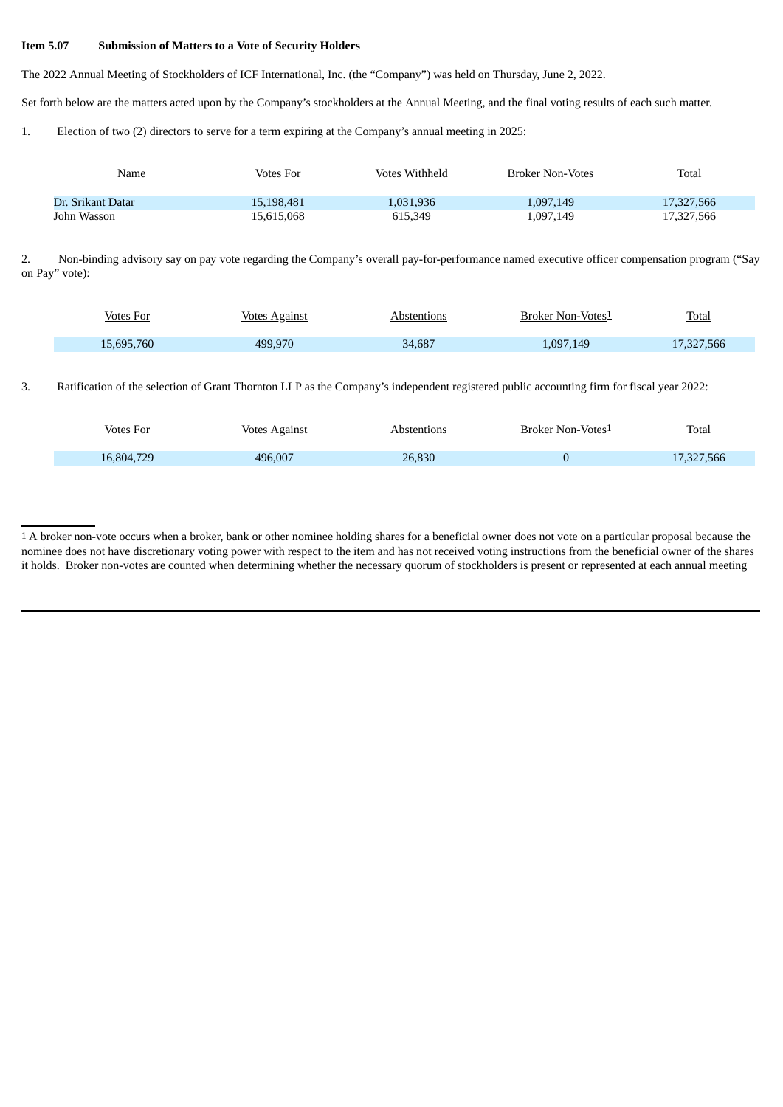### **Item 5.07 Submission of Matters to a Vote of Security Holders**

The 2022 Annual Meeting of Stockholders of ICF International, Inc. (the "Company") was held on Thursday, June 2, 2022.

Set forth below are the matters acted upon by the Company's stockholders at the Annual Meeting, and the final voting results of each such matter.

1. Election of two (2) directors to serve for a term expiring at the Company's annual meeting in 2025:

| <u>Name</u>       | Votes For  | Votes Withheld | Broker Non-Votes | <b>Total</b> |
|-------------------|------------|----------------|------------------|--------------|
| Dr. Srikant Datar | 15.198.481 | 1.031.936      | 1,097,149        | 17,327,566   |
| John Wasson       | 15,615,068 | 615,349        | 1,097,149        | 17,327,566   |

2. Non-binding advisory say on pay vote regarding the Company's overall pay-for-performance named executive officer compensation program ("Say on Pay" vote):

| Votes For  | <u>Votes Against</u> | Abstentions | <b>Broker Non-Votes1</b> | <b>Total</b> |
|------------|----------------------|-------------|--------------------------|--------------|
| 15,695,760 | 499.970              | 34,687      | .097,149                 | 17,327,566   |
|            |                      |             |                          |              |

### 3. Ratification of the selection of Grant Thornton LLP as the Company's independent registered public accounting firm for fiscal year 2022:

| <b>Votes For</b> | <u>Votes Against</u> | Abstentions | Broker Non-Votes1 | <b>Total</b> |
|------------------|----------------------|-------------|-------------------|--------------|
| 16,804,729       | 496.007              | 26,830      |                   | 17,327,566   |
|                  |                      |             |                   |              |

<sup>1</sup> A broker non-vote occurs when a broker, bank or other nominee holding shares for a beneficial owner does not vote on a particular proposal because the nominee does not have discretionary voting power with respect to the item and has not received voting instructions from the beneficial owner of the shares it holds. Broker non-votes are counted when determining whether the necessary quorum of stockholders is present or represented at each annual meeting